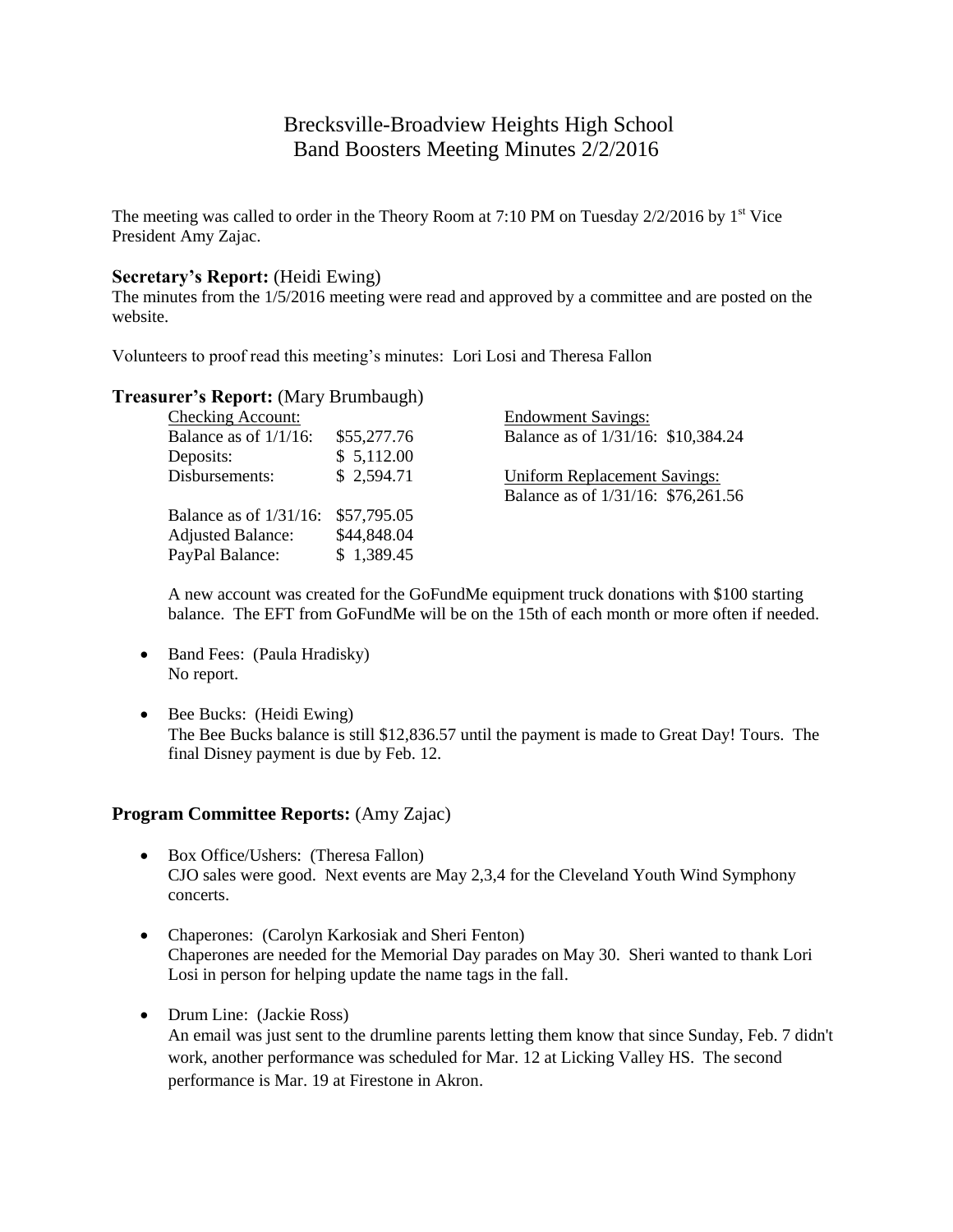# Brecksville-Broadview Heights High School Band Boosters Meeting Minutes 2/2/2016

The meeting was called to order in the Theory Room at 7:10 PM on Tuesday  $2/2/2016$  by  $1<sup>st</sup>$  Vice President Amy Zajac.

### **Secretary's Report:** (Heidi Ewing)

The minutes from the 1/5/2016 meeting were read and approved by a committee and are posted on the website.

Volunteers to proof read this meeting's minutes: Lori Losi and Theresa Fallon

### **Treasurer's Report:** (Mary Brumbaugh)

|             | <b>Endowment Savings:</b>           |
|-------------|-------------------------------------|
| \$55,277.76 | Balance as of 1/31/16: \$10,384.24  |
| \$5,112.00  |                                     |
| \$2,594.71  | <b>Uniform Replacement Savings:</b> |
|             | Balance as of 1/31/16: \$76,261.56  |
| \$57,795.05 |                                     |
| \$44,848.04 |                                     |
| \$1,389.45  |                                     |
|             |                                     |

A new account was created for the GoFundMe equipment truck donations with \$100 starting balance. The EFT from GoFundMe will be on the 15th of each month or more often if needed.

- Band Fees: (Paula Hradisky) No report.
- Bee Bucks: (Heidi Ewing) The Bee Bucks balance is still \$12,836.57 until the payment is made to Great Day! Tours. The final Disney payment is due by Feb. 12.

### **Program Committee Reports:** (Amy Zajac)

- Box Office/Ushers: (Theresa Fallon) CJO sales were good. Next events are May 2,3,4 for the Cleveland Youth Wind Symphony concerts.
- Chaperones: (Carolyn Karkosiak and Sheri Fenton) Chaperones are needed for the Memorial Day parades on May 30. Sheri wanted to thank Lori Losi in person for helping update the name tags in the fall.
- Drum Line: (Jackie Ross)

An email was just sent to the drumline parents letting them know that since Sunday, Feb. 7 didn't work, another performance was scheduled for Mar. 12 at Licking Valley HS. The second performance is Mar. 19 at Firestone in Akron.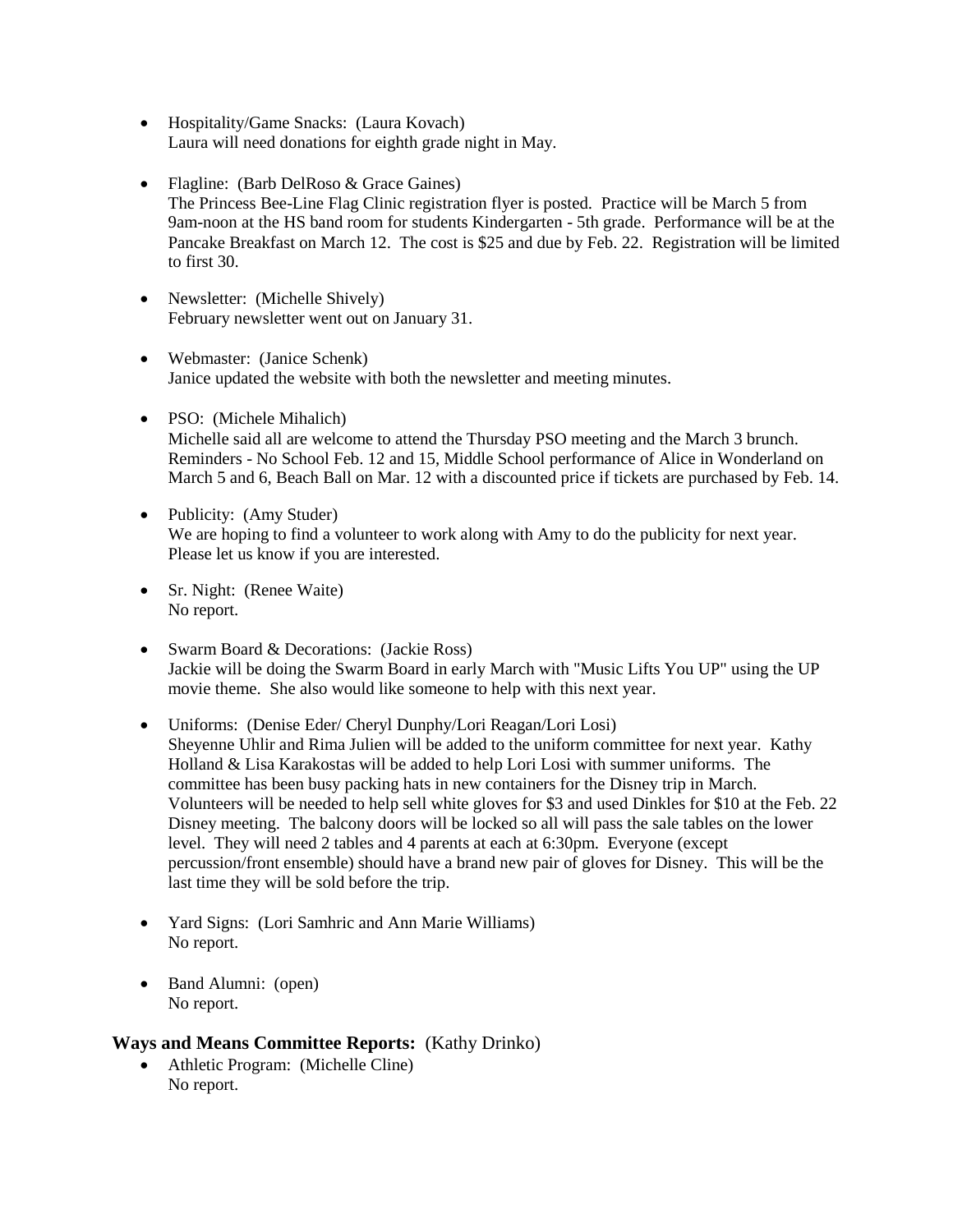- Hospitality/Game Snacks: (Laura Kovach) Laura will need donations for eighth grade night in May.
- Flagline: (Barb DelRoso & Grace Gaines) The Princess Bee-Line Flag Clinic registration flyer is posted. Practice will be March 5 from 9am-noon at the HS band room for students Kindergarten - 5th grade. Performance will be at the Pancake Breakfast on March 12. The cost is \$25 and due by Feb. 22. Registration will be limited to first 30.
- Newsletter: (Michelle Shively) February newsletter went out on January 31.
- Webmaster: (Janice Schenk) Janice updated the website with both the newsletter and meeting minutes.
- PSO: (Michele Mihalich) Michelle said all are welcome to attend the Thursday PSO meeting and the March 3 brunch. Reminders - No School Feb. 12 and 15, Middle School performance of Alice in Wonderland on March 5 and 6, Beach Ball on Mar. 12 with a discounted price if tickets are purchased by Feb. 14.
- Publicity: (Amy Studer) We are hoping to find a volunteer to work along with Amy to do the publicity for next year. Please let us know if you are interested.
- Sr. Night: (Renee Waite) No report.
- Swarm Board & Decorations: (Jackie Ross) Jackie will be doing the Swarm Board in early March with "Music Lifts You UP" using the UP movie theme. She also would like someone to help with this next year.
- Uniforms: (Denise Eder/ Cheryl Dunphy/Lori Reagan/Lori Losi) Sheyenne Uhlir and Rima Julien will be added to the uniform committee for next year. Kathy Holland & Lisa Karakostas will be added to help Lori Losi with summer uniforms. The committee has been busy packing hats in new containers for the Disney trip in March. Volunteers will be needed to help sell white gloves for \$3 and used Dinkles for \$10 at the Feb. 22 Disney meeting. The balcony doors will be locked so all will pass the sale tables on the lower level. They will need 2 tables and 4 parents at each at 6:30pm. Everyone (except percussion/front ensemble) should have a brand new pair of gloves for Disney. This will be the last time they will be sold before the trip.
- Yard Signs: (Lori Samhric and Ann Marie Williams) No report.
- Band Alumni: (open) No report.

# **Ways and Means Committee Reports:** (Kathy Drinko)

 Athletic Program: (Michelle Cline) No report.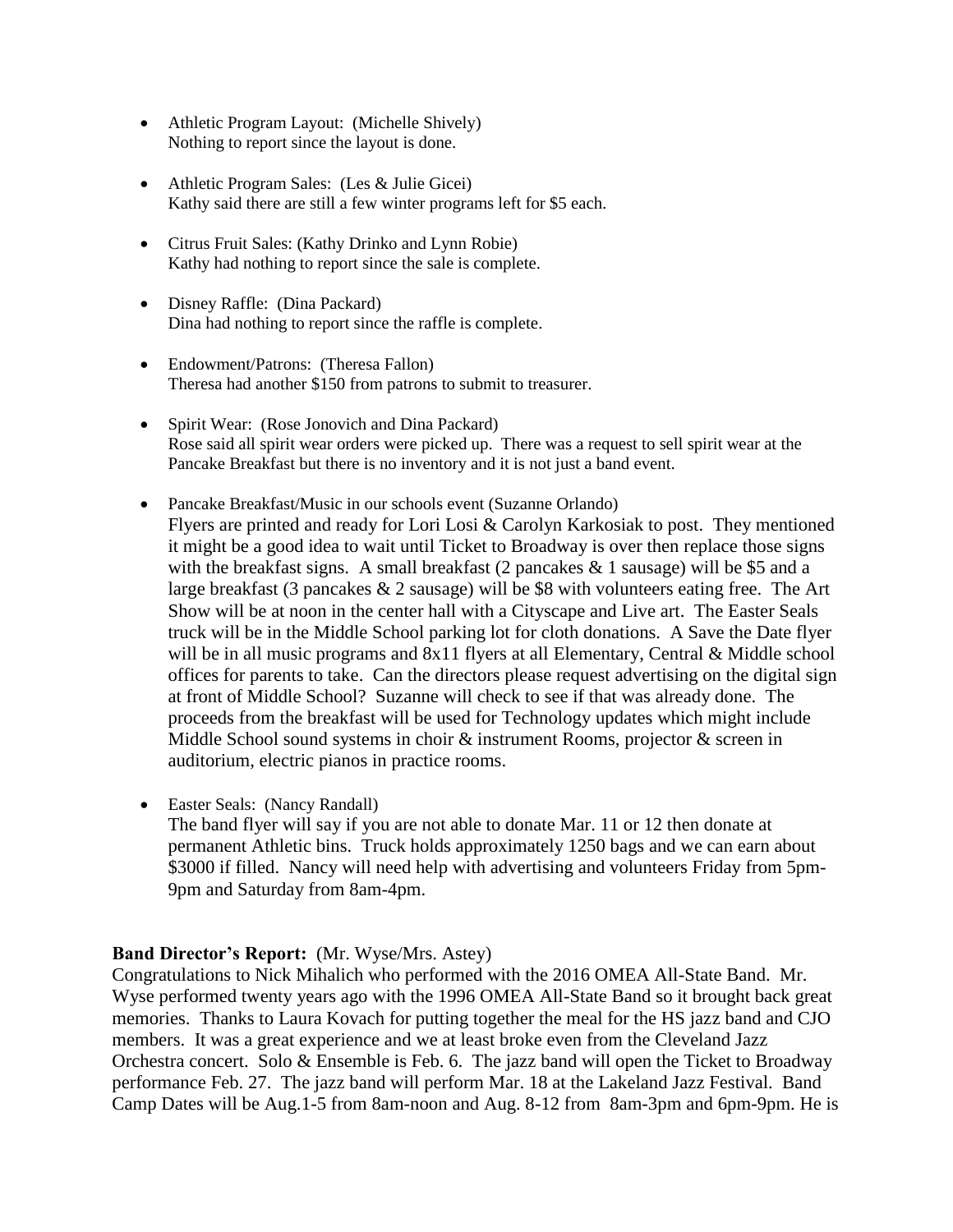- Athletic Program Layout: (Michelle Shively) Nothing to report since the layout is done.
- Athletic Program Sales: (Les & Julie Gicei) Kathy said there are still a few winter programs left for \$5 each.
- Citrus Fruit Sales: (Kathy Drinko and Lynn Robie) Kathy had nothing to report since the sale is complete.
- Disney Raffle: (Dina Packard) Dina had nothing to report since the raffle is complete.
- Endowment/Patrons: (Theresa Fallon) Theresa had another \$150 from patrons to submit to treasurer.
- Spirit Wear: (Rose Jonovich and Dina Packard) Rose said all spirit wear orders were picked up. There was a request to sell spirit wear at the Pancake Breakfast but there is no inventory and it is not just a band event.
- Pancake Breakfast/Music in our schools event (Suzanne Orlando) Flyers are printed and ready for Lori Losi & Carolyn Karkosiak to post. They mentioned it might be a good idea to wait until Ticket to Broadway is over then replace those signs with the breakfast signs. A small breakfast  $(2 \text{ pancakes } \& 1 \text{ sausage})$  will be \$5 and a large breakfast (3 pancakes  $& 2$  sausage) will be \$8 with volunteers eating free. The Art Show will be at noon in the center hall with a Cityscape and Live art. The Easter Seals truck will be in the Middle School parking lot for cloth donations. A Save the Date flyer will be in all music programs and 8x11 flyers at all Elementary, Central & Middle school offices for parents to take. Can the directors please request advertising on the digital sign at front of Middle School? Suzanne will check to see if that was already done. The proceeds from the breakfast will be used for Technology updates which might include Middle School sound systems in choir & instrument Rooms, projector & screen in auditorium, electric pianos in practice rooms.
- Easter Seals: (Nancy Randall)
	- The band flyer will say if you are not able to donate Mar. 11 or 12 then donate at permanent Athletic bins. Truck holds approximately 1250 bags and we can earn about \$3000 if filled. Nancy will need help with advertising and volunteers Friday from 5pm-9pm and Saturday from 8am-4pm.

## **Band Director's Report:** (Mr. Wyse/Mrs. Astey)

Congratulations to Nick Mihalich who performed with the 2016 OMEA All-State Band. Mr. Wyse performed twenty years ago with the 1996 OMEA All-State Band so it brought back great memories. Thanks to Laura Kovach for putting together the meal for the HS jazz band and CJO members. It was a great experience and we at least broke even from the Cleveland Jazz Orchestra concert. Solo & Ensemble is Feb. 6. The jazz band will open the Ticket to Broadway performance Feb. 27. The jazz band will perform Mar. 18 at the Lakeland Jazz Festival. Band Camp Dates will be Aug.1-5 from 8am-noon and Aug. 8-12 from 8am-3pm and 6pm-9pm. He is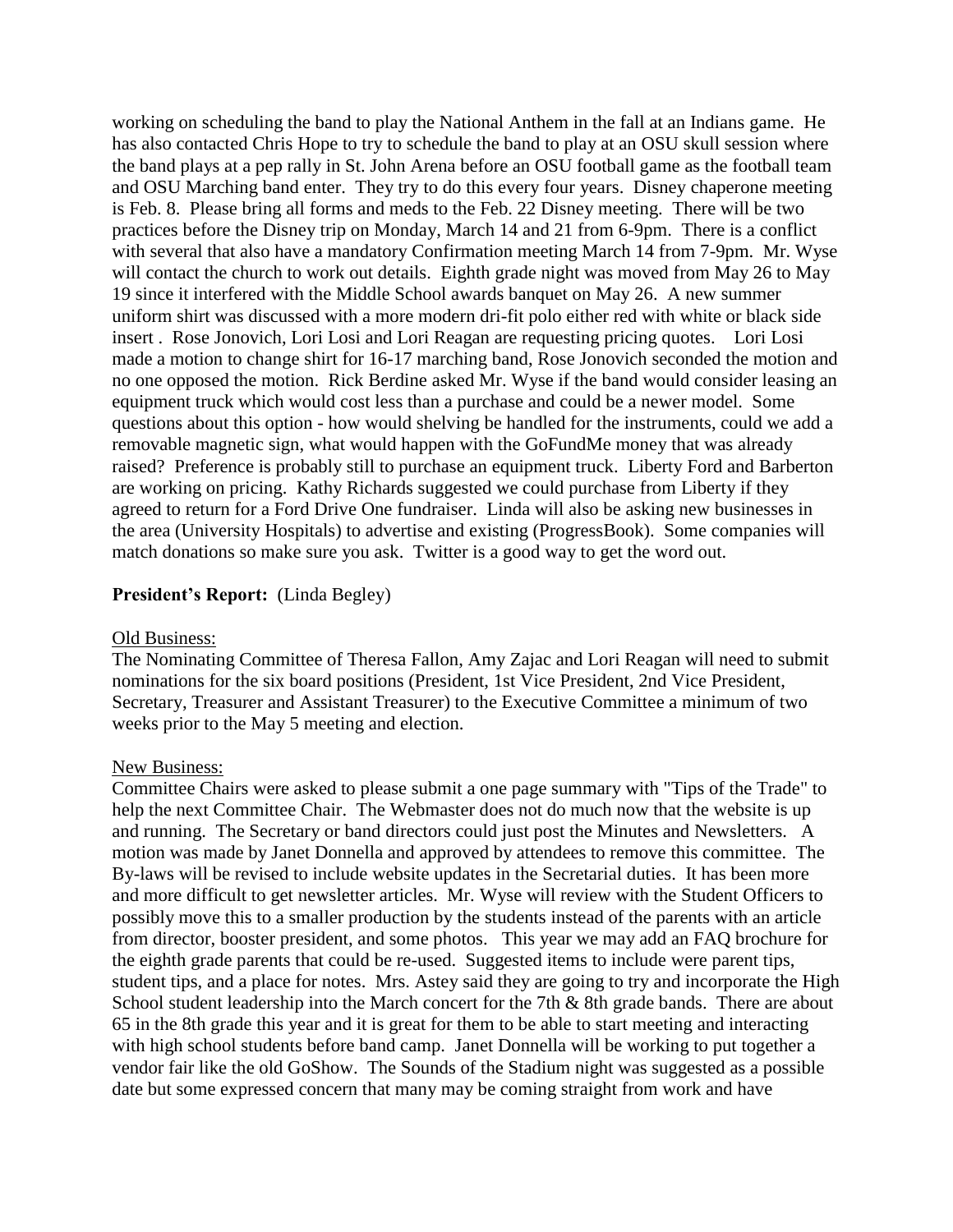working on scheduling the band to play the National Anthem in the fall at an Indians game. He has also contacted Chris Hope to try to schedule the band to play at an OSU skull session where the band plays at a pep rally in St. John Arena before an OSU football game as the football team and OSU Marching band enter. They try to do this every four years. Disney chaperone meeting is Feb. 8. Please bring all forms and meds to the Feb. 22 Disney meeting. There will be two practices before the Disney trip on Monday, March 14 and 21 from 6-9pm. There is a conflict with several that also have a mandatory Confirmation meeting March 14 from 7-9pm. Mr. Wyse will contact the church to work out details. Eighth grade night was moved from May 26 to May 19 since it interfered with the Middle School awards banquet on May 26. A new summer uniform shirt was discussed with a more modern dri-fit polo either red with white or black side insert . Rose Jonovich, Lori Losi and Lori Reagan are requesting pricing quotes. Lori Losi made a motion to change shirt for 16-17 marching band, Rose Jonovich seconded the motion and no one opposed the motion. Rick Berdine asked Mr. Wyse if the band would consider leasing an equipment truck which would cost less than a purchase and could be a newer model. Some questions about this option - how would shelving be handled for the instruments, could we add a removable magnetic sign, what would happen with the GoFundMe money that was already raised? Preference is probably still to purchase an equipment truck. Liberty Ford and Barberton are working on pricing. Kathy Richards suggested we could purchase from Liberty if they agreed to return for a Ford Drive One fundraiser. Linda will also be asking new businesses in the area (University Hospitals) to advertise and existing (ProgressBook). Some companies will match donations so make sure you ask. Twitter is a good way to get the word out.

## **President's Report:** (Linda Begley)

### Old Business:

The Nominating Committee of Theresa Fallon, Amy Zajac and Lori Reagan will need to submit nominations for the six board positions (President, 1st Vice President, 2nd Vice President, Secretary, Treasurer and Assistant Treasurer) to the Executive Committee a minimum of two weeks prior to the May 5 meeting and election.

### New Business:

Committee Chairs were asked to please submit a one page summary with "Tips of the Trade" to help the next Committee Chair. The Webmaster does not do much now that the website is up and running. The Secretary or band directors could just post the Minutes and Newsletters. A motion was made by Janet Donnella and approved by attendees to remove this committee. The By-laws will be revised to include website updates in the Secretarial duties. It has been more and more difficult to get newsletter articles. Mr. Wyse will review with the Student Officers to possibly move this to a smaller production by the students instead of the parents with an article from director, booster president, and some photos. This year we may add an FAQ brochure for the eighth grade parents that could be re-used. Suggested items to include were parent tips, student tips, and a place for notes. Mrs. Astey said they are going to try and incorporate the High School student leadership into the March concert for the 7th & 8th grade bands. There are about 65 in the 8th grade this year and it is great for them to be able to start meeting and interacting with high school students before band camp. Janet Donnella will be working to put together a vendor fair like the old GoShow. The Sounds of the Stadium night was suggested as a possible date but some expressed concern that many may be coming straight from work and have